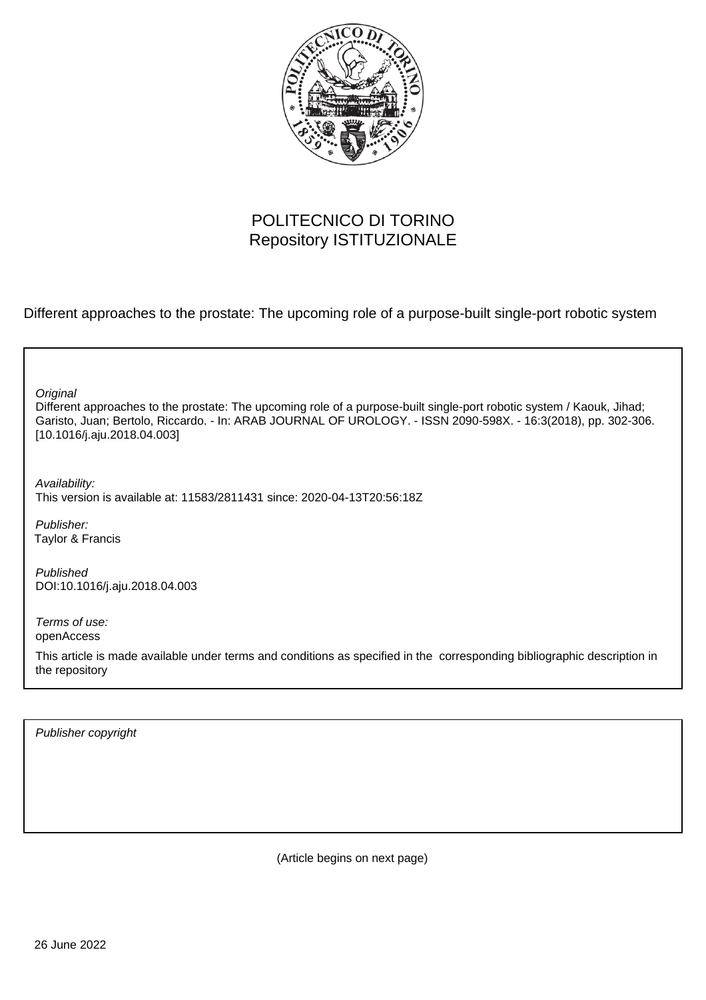

### POLITECNICO DI TORINO Repository ISTITUZIONALE

Different approaches to the prostate: The upcoming role of a purpose-built single-port robotic system

Different approaches to the prostate: The upcoming role of a purpose-built single-port robotic system / Kaouk, Jihad; Garisto, Juan; Bertolo, Riccardo. - In: ARAB JOURNAL OF UROLOGY. - ISSN 2090-598X. - 16:3(2018), pp. 302-306. [10.1016/j.aju.2018.04.003] **Original** Publisher: Published DOI:10.1016/j.aju.2018.04.003 Terms of use: openAccess This article is made available under terms and conditions as specified in the corresponding bibliographic description in the repository Availability: This version is available at: 11583/2811431 since: 2020-04-13T20:56:18Z Taylor & Francis

Publisher copyright

(Article begins on next page)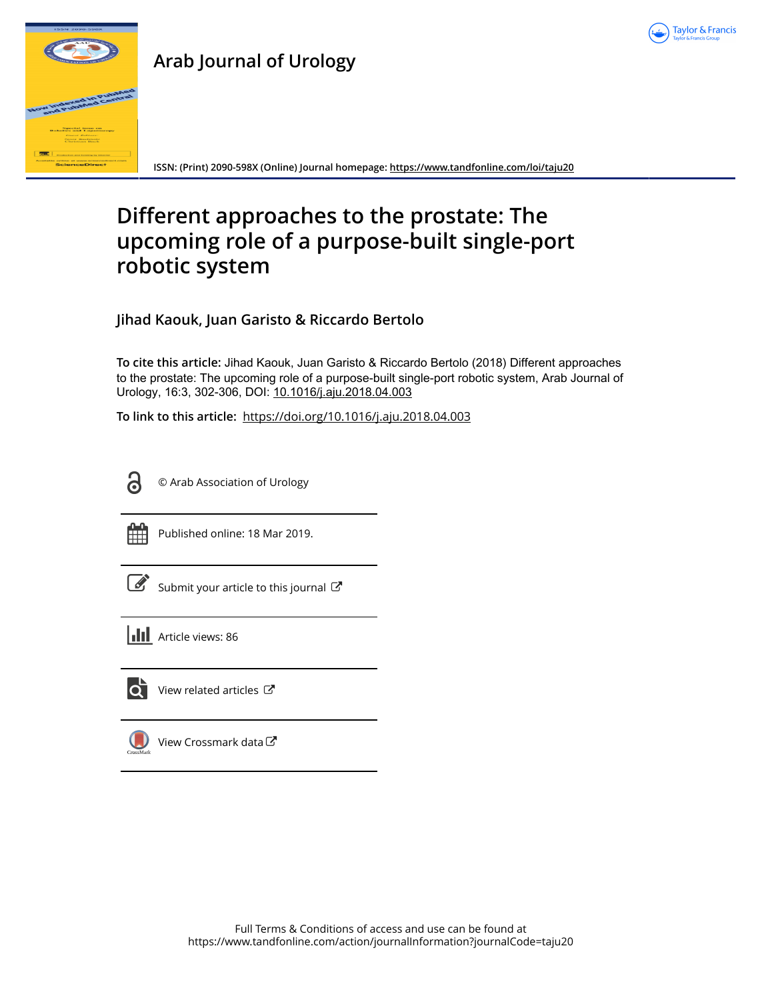

# **Arab Journal of Urology**



**ISSN: (Print) 2090-598X (Online) Journal homepage: <https://www.tandfonline.com/loi/taju20>**

## **Different approaches to the prostate: The upcoming role of a purpose-built single-port robotic system**

**Jihad Kaouk, Juan Garisto & Riccardo Bertolo**

**To cite this article:** Jihad Kaouk, Juan Garisto & Riccardo Bertolo (2018) Different approaches to the prostate: The upcoming role of a purpose-built single-port robotic system, Arab Journal of Urology, 16:3, 302-306, DOI: [10.1016/j.aju.2018.04.003](https://www.tandfonline.com/action/showCitFormats?doi=10.1016/j.aju.2018.04.003)

**To link to this article:** <https://doi.org/10.1016/j.aju.2018.04.003>

© Arab Association of Urology



Published online: 18 Mar 2019.

[Submit your article to this journal](https://www.tandfonline.com/action/authorSubmission?journalCode=taju20&show=instructions)  $\mathbb{Z}$ 

**Article views: 86** 



 $\bullet$  [View related articles](https://www.tandfonline.com/doi/mlt/10.1016/j.aju.2018.04.003)  $\sigma$ 

[View Crossmark data](http://crossmark.crossref.org/dialog/?doi=10.1016/j.aju.2018.04.003&domain=pdf&date_stamp=2019-03-18) $\mathbb{Z}$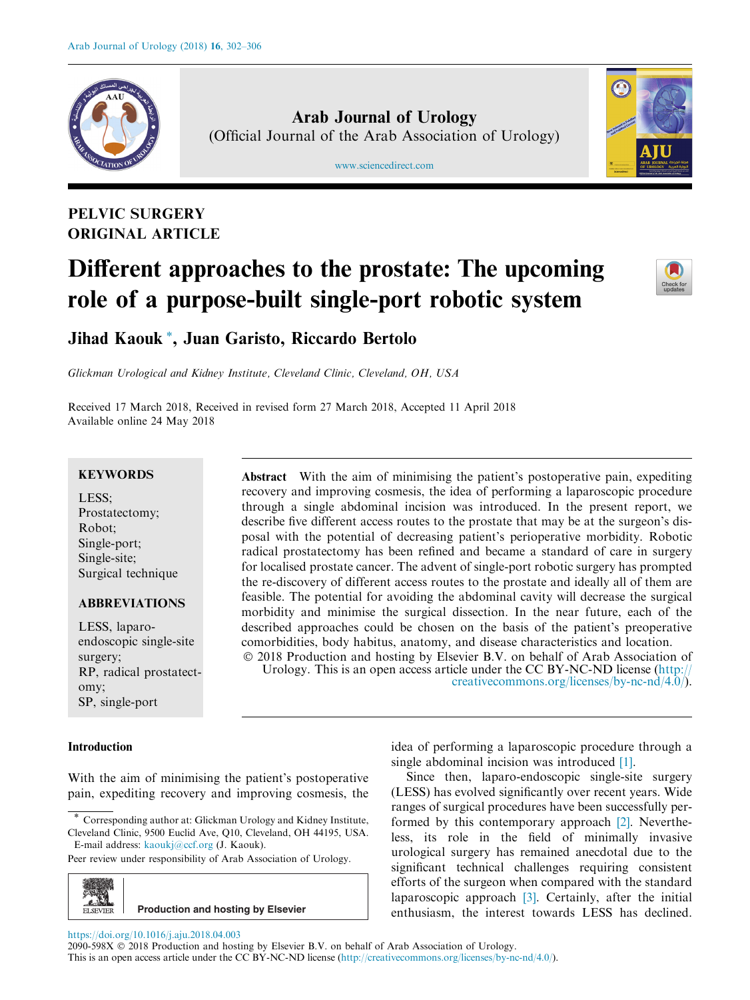

Arab Journal of Urology (Official Journal of the Arab Association of Urology)

[www.sciencedirect.com](http://www.sciencedirect.com/science/journal/2090598X)



### PELVIC SURGERY ORIGINAL ARTICLE

# Different approaches to the prostate: The upcoming role of a purpose-built single-port robotic system

Jihad Kaouk \*, Juan Garisto, Riccardo Bertolo

Glickman Urological and Kidney Institute, Cleveland Clinic, Cleveland, OH, USA

Received 17 March 2018, Received in revised form 27 March 2018, Accepted 11 April 2018 Available online 24 May 2018

### **KEYWORDS**

LESS; Prostatectomy; Robot; Single-port; Single-site; Surgical technique

#### ABBREVIATIONS

LESS, laparoendoscopic single-site surgery; RP, radical prostatectomy; SP, single-port

#### Introduction

With the aim of minimising the patient's postoperative pain, expediting recovery and improving cosmesis, the

\* Corresponding author at: Glickman Urology and Kidney Institute, Cleveland Clinic, 9500 Euclid Ave, Q10, Cleveland, OH 44195, USA. E-mail address: [kaoukj@ccf.org](mailto:kaoukj@ccf.org) (J. Kaouk).

Peer review under responsibility of Arab Association of Urology.



Abstract With the aim of minimising the patient's postoperative pain, expediting recovery and improving cosmesis, the idea of performing a laparoscopic procedure through a single abdominal incision was introduced. In the present report, we describe five different access routes to the prostate that may be at the surgeon's disposal with the potential of decreasing patient's perioperative morbidity. Robotic radical prostatectomy has been refined and became a standard of care in surgery for localised prostate cancer. The advent of single-port robotic surgery has prompted the re-discovery of different access routes to the prostate and ideally all of them are feasible. The potential for avoiding the abdominal cavity will decrease the surgical morbidity and minimise the surgical dissection. In the near future, each of the described approaches could be chosen on the basis of the patient's preoperative comorbidities, body habitus, anatomy, and disease characteristics and location. 2018 Production and hosting by Elsevier B.V. on behalf of Arab Association of

Urology. This is an open access article under the CC BY-NC-ND license [\(http://](http://creativecommons.org/licenses/by-nc-nd/4.0/) [creativecommons.org/licenses/by-nc-nd/4.0/\)](http://creativecommons.org/licenses/by-nc-nd/4.0/).

> idea of performing a laparoscopic procedure through a single abdominal incision was introduced [\[1\].](#page-6-0)

> Since then, laparo-endoscopic single-site surgery (LESS) has evolved significantly over recent years. Wide ranges of surgical procedures have been successfully performed by this contemporary approach [\[2\]](#page-6-0). Nevertheless, its role in the field of minimally invasive urological surgery has remained anecdotal due to the significant technical challenges requiring consistent efforts of the surgeon when compared with the standard laparoscopic approach [\[3\].](#page-6-0) Certainly, after the initial enthusiasm, the interest towards LESS has declined.

<https://doi.org/10.1016/j.aju.2018.04.003>

2090-598X  $\odot$  2018 Production and hosting by Elsevier B.V. on behalf of Arab Association of Urology. This is an open access article under the CC BY-NC-ND license ([http://creativecommons.org/licenses/by-nc-nd/4.0/\)](http://creativecommons.org/licenses/by-nc-nd/4.0/).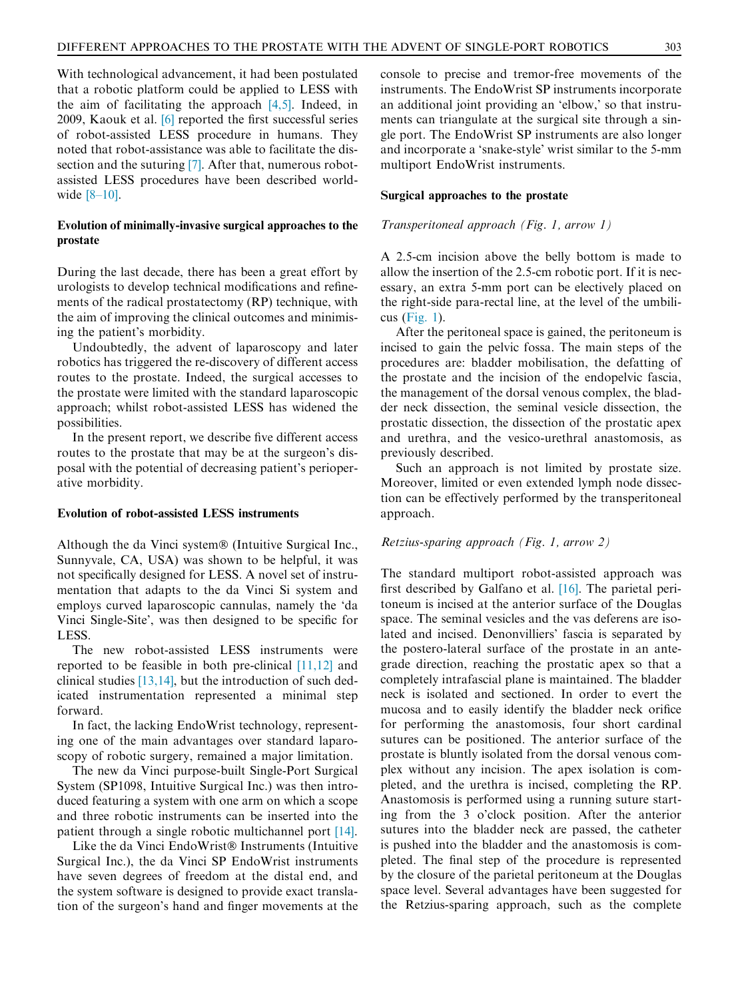With technological advancement, it had been postulated that a robotic platform could be applied to LESS with the aim of facilitating the approach  $[4,5]$ . Indeed, in 2009, Kaouk et al. [\[6\]](#page-6-0) reported the first successful series of robot-assisted LESS procedure in humans. They noted that robot-assistance was able to facilitate the dissection and the suturing [\[7\].](#page-6-0) After that, numerous robotassisted LESS procedures have been described worldwide [\[8–10\].](#page-6-0)

#### Evolution of minimally-invasive surgical approaches to the prostate

During the last decade, there has been a great effort by urologists to develop technical modifications and refinements of the radical prostatectomy (RP) technique, with the aim of improving the clinical outcomes and minimising the patient's morbidity.

Undoubtedly, the advent of laparoscopy and later robotics has triggered the re-discovery of different access routes to the prostate. Indeed, the surgical accesses to the prostate were limited with the standard laparoscopic approach; whilst robot-assisted LESS has widened the possibilities.

In the present report, we describe five different access routes to the prostate that may be at the surgeon's disposal with the potential of decreasing patient's perioperative morbidity.

#### Evolution of robot-assisted LESS instruments

Although the da Vinci system® (Intuitive Surgical Inc., Sunnyvale, CA, USA) was shown to be helpful, it was not specifically designed for LESS. A novel set of instrumentation that adapts to the da Vinci Si system and employs curved laparoscopic cannulas, namely the 'da Vinci Single-Site', was then designed to be specific for LESS.

The new robot-assisted LESS instruments were reported to be feasible in both pre-clinical [\[11,12\]](#page-6-0) and clinical studies [\[13,14\],](#page-6-0) but the introduction of such dedicated instrumentation represented a minimal step forward.

In fact, the lacking EndoWrist technology, representing one of the main advantages over standard laparoscopy of robotic surgery, remained a major limitation.

The new da Vinci purpose-built Single-Port Surgical System (SP1098, Intuitive Surgical Inc.) was then introduced featuring a system with one arm on which a scope and three robotic instruments can be inserted into the patient through a single robotic multichannel port [\[14\]](#page-6-0).

Like the da Vinci EndoWrist<sup>®</sup> Instruments (Intuitive Surgical Inc.), the da Vinci SP EndoWrist instruments have seven degrees of freedom at the distal end, and the system software is designed to provide exact translation of the surgeon's hand and finger movements at the console to precise and tremor-free movements of the instruments. The EndoWrist SP instruments incorporate an additional joint providing an 'elbow,' so that instruments can triangulate at the surgical site through a single port. The EndoWrist SP instruments are also longer and incorporate a 'snake-style' wrist similar to the 5-mm multiport EndoWrist instruments.

#### Surgical approaches to the prostate

#### Transperitoneal approach (Fig. 1, arrow 1)

A 2.5-cm incision above the belly bottom is made to allow the insertion of the 2.5-cm robotic port. If it is necessary, an extra 5-mm port can be electively placed on the right-side para-rectal line, at the level of the umbilicus ([Fig. 1](#page-4-0)).

After the peritoneal space is gained, the peritoneum is incised to gain the pelvic fossa. The main steps of the procedures are: bladder mobilisation, the defatting of the prostate and the incision of the endopelvic fascia, the management of the dorsal venous complex, the bladder neck dissection, the seminal vesicle dissection, the prostatic dissection, the dissection of the prostatic apex and urethra, and the vesico-urethral anastomosis, as previously described.

Such an approach is not limited by prostate size. Moreover, limited or even extended lymph node dissection can be effectively performed by the transperitoneal approach.

#### Retzius-sparing approach (Fig. 1, arrow 2)

The standard multiport robot-assisted approach was first described by Galfano et al. [\[16\]](#page-6-0). The parietal peritoneum is incised at the anterior surface of the Douglas space. The seminal vesicles and the vas deferens are isolated and incised. Denonvilliers' fascia is separated by the postero-lateral surface of the prostate in an antegrade direction, reaching the prostatic apex so that a completely intrafascial plane is maintained. The bladder neck is isolated and sectioned. In order to evert the mucosa and to easily identify the bladder neck orifice for performing the anastomosis, four short cardinal sutures can be positioned. The anterior surface of the prostate is bluntly isolated from the dorsal venous complex without any incision. The apex isolation is completed, and the urethra is incised, completing the RP. Anastomosis is performed using a running suture starting from the 3 o'clock position. After the anterior sutures into the bladder neck are passed, the catheter is pushed into the bladder and the anastomosis is completed. The final step of the procedure is represented by the closure of the parietal peritoneum at the Douglas space level. Several advantages have been suggested for the Retzius-sparing approach, such as the complete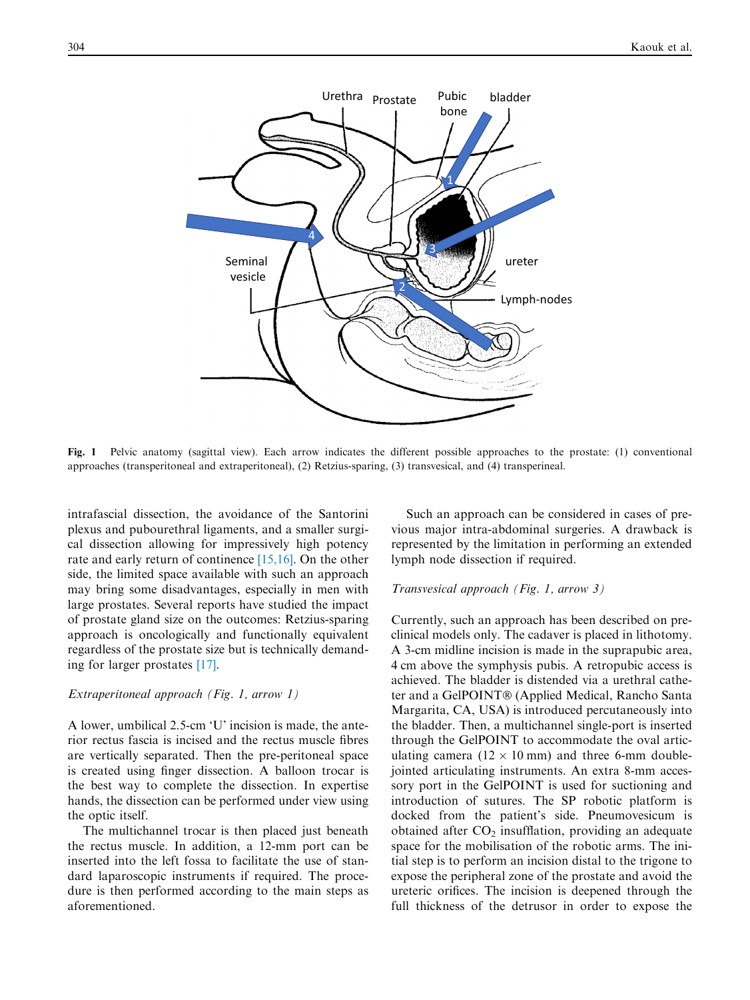<span id="page-4-0"></span>

Fig. 1 Pelvic anatomy (sagittal view). Each arrow indicates the different possible approaches to the prostate: (1) conventional approaches (transperitoneal and extraperitoneal), (2) Retzius-sparing, (3) transvesical, and (4) transperineal.

intrafascial dissection, the avoidance of the Santorini plexus and pubourethral ligaments, and a smaller surgical dissection allowing for impressively high potency rate and early return of continence [\[15,16\].](#page-6-0) On the other side, the limited space available with such an approach may bring some disadvantages, especially in men with large prostates. Several reports have studied the impact of prostate gland size on the outcomes: Retzius-sparing approach is oncologically and functionally equivalent regardless of the prostate size but is technically demanding for larger prostates [\[17\].](#page-6-0)

#### Extraperitoneal approach (Fig. 1, arrow 1)

A lower, umbilical 2.5-cm 'U' incision is made, the anterior rectus fascia is incised and the rectus muscle fibres are vertically separated. Then the pre-peritoneal space is created using finger dissection. A balloon trocar is the best way to complete the dissection. In expertise hands, the dissection can be performed under view using the optic itself.

The multichannel trocar is then placed just beneath the rectus muscle. In addition, a 12-mm port can be inserted into the left fossa to facilitate the use of standard laparoscopic instruments if required. The procedure is then performed according to the main steps as aforementioned.

Such an approach can be considered in cases of previous major intra-abdominal surgeries. A drawback is represented by the limitation in performing an extended lymph node dissection if required.

#### Transvesical approach (Fig. 1, arrow 3)

Currently, such an approach has been described on preclinical models only. The cadaver is placed in lithotomy. A 3-cm midline incision is made in the suprapubic area, 4 cm above the symphysis pubis. A retropubic access is achieved. The bladder is distended via a urethral catheter and a GelPOINT<sup>®</sup> (Applied Medical, Rancho Santa Margarita, CA, USA) is introduced percutaneously into the bladder. Then, a multichannel single-port is inserted through the GelPOINT to accommodate the oval articulating camera  $(12 \times 10 \text{ mm})$  and three 6-mm doublejointed articulating instruments. An extra 8-mm accessory port in the GelPOINT is used for suctioning and introduction of sutures. The SP robotic platform is docked from the patient's side. Pneumovesicum is obtained after  $CO<sub>2</sub>$  insufflation, providing an adequate space for the mobilisation of the robotic arms. The initial step is to perform an incision distal to the trigone to expose the peripheral zone of the prostate and avoid the ureteric orifices. The incision is deepened through the full thickness of the detrusor in order to expose the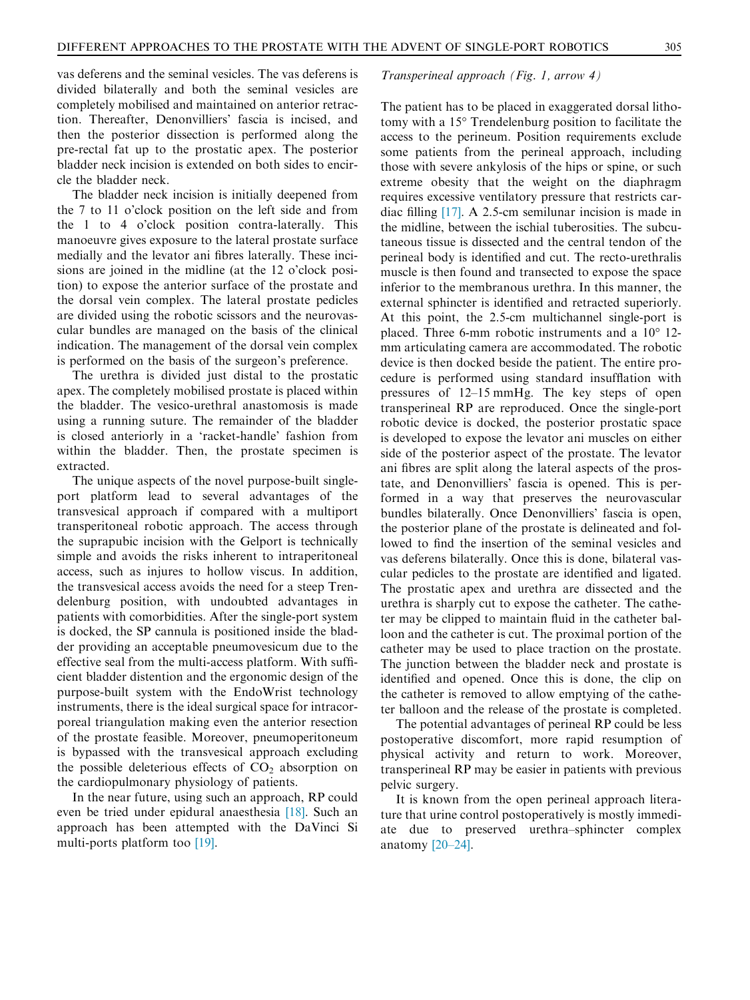vas deferens and the seminal vesicles. The vas deferens is divided bilaterally and both the seminal vesicles are

completely mobilised and maintained on anterior retraction. Thereafter, Denonvilliers' fascia is incised, and then the posterior dissection is performed along the pre-rectal fat up to the prostatic apex. The posterior bladder neck incision is extended on both sides to encircle the bladder neck.

The bladder neck incision is initially deepened from the 7 to 11 o'clock position on the left side and from the 1 to 4 o'clock position contra-laterally. This manoeuvre gives exposure to the lateral prostate surface medially and the levator ani fibres laterally. These incisions are joined in the midline (at the 12 o'clock position) to expose the anterior surface of the prostate and the dorsal vein complex. The lateral prostate pedicles are divided using the robotic scissors and the neurovascular bundles are managed on the basis of the clinical indication. The management of the dorsal vein complex is performed on the basis of the surgeon's preference.

The urethra is divided just distal to the prostatic apex. The completely mobilised prostate is placed within the bladder. The vesico-urethral anastomosis is made using a running suture. The remainder of the bladder is closed anteriorly in a 'racket-handle' fashion from within the bladder. Then, the prostate specimen is extracted.

The unique aspects of the novel purpose-built singleport platform lead to several advantages of the transvesical approach if compared with a multiport transperitoneal robotic approach. The access through the suprapubic incision with the Gelport is technically simple and avoids the risks inherent to intraperitoneal access, such as injures to hollow viscus. In addition, the transvesical access avoids the need for a steep Trendelenburg position, with undoubted advantages in patients with comorbidities. After the single-port system is docked, the SP cannula is positioned inside the bladder providing an acceptable pneumovesicum due to the effective seal from the multi-access platform. With sufficient bladder distention and the ergonomic design of the purpose-built system with the EndoWrist technology instruments, there is the ideal surgical space for intracorporeal triangulation making even the anterior resection of the prostate feasible. Moreover, pneumoperitoneum is bypassed with the transvesical approach excluding the possible deleterious effects of  $CO<sub>2</sub>$  absorption on the cardiopulmonary physiology of patients.

In the near future, using such an approach, RP could even be tried under epidural anaesthesia [\[18\]](#page-6-0). Such an approach has been attempted with the DaVinci Si multi-ports platform too [\[19\]](#page-6-0).

#### Transperineal approach (Fig. 1, arrow 4)

The patient has to be placed in exaggerated dorsal lithotomy with a  $15^{\circ}$  Trendelenburg position to facilitate the access to the perineum. Position requirements exclude some patients from the perineal approach, including those with severe ankylosis of the hips or spine, or such extreme obesity that the weight on the diaphragm requires excessive ventilatory pressure that restricts cardiac filling [\[17\]](#page-6-0). A 2.5-cm semilunar incision is made in the midline, between the ischial tuberosities. The subcutaneous tissue is dissected and the central tendon of the perineal body is identified and cut. The recto-urethralis muscle is then found and transected to expose the space inferior to the membranous urethra. In this manner, the external sphincter is identified and retracted superiorly. At this point, the 2.5-cm multichannel single-port is placed. Three 6-mm robotic instruments and a  $10^{\circ}$  12mm articulating camera are accommodated. The robotic device is then docked beside the patient. The entire procedure is performed using standard insufflation with pressures of 12–15 mmHg. The key steps of open transperineal RP are reproduced. Once the single-port robotic device is docked, the posterior prostatic space is developed to expose the levator ani muscles on either side of the posterior aspect of the prostate. The levator ani fibres are split along the lateral aspects of the prostate, and Denonvilliers' fascia is opened. This is performed in a way that preserves the neurovascular bundles bilaterally. Once Denonvilliers' fascia is open, the posterior plane of the prostate is delineated and followed to find the insertion of the seminal vesicles and vas deferens bilaterally. Once this is done, bilateral vascular pedicles to the prostate are identified and ligated. The prostatic apex and urethra are dissected and the urethra is sharply cut to expose the catheter. The catheter may be clipped to maintain fluid in the catheter balloon and the catheter is cut. The proximal portion of the catheter may be used to place traction on the prostate. The junction between the bladder neck and prostate is identified and opened. Once this is done, the clip on the catheter is removed to allow emptying of the catheter balloon and the release of the prostate is completed.

The potential advantages of perineal RP could be less postoperative discomfort, more rapid resumption of physical activity and return to work. Moreover, transperineal RP may be easier in patients with previous pelvic surgery.

It is known from the open perineal approach literature that urine control postoperatively is mostly immediate due to preserved urethra–sphincter complex anatomy [\[20–24\].](#page-6-0)